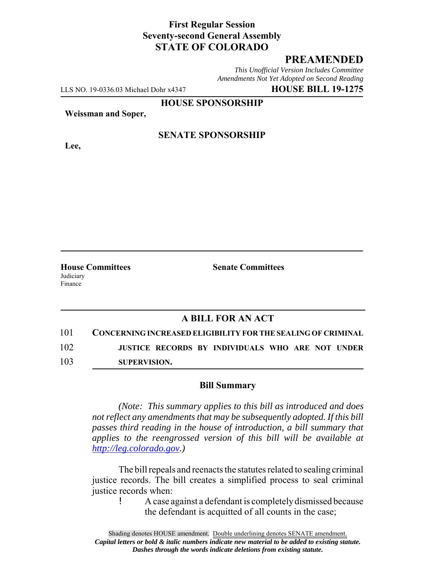### **First Regular Session Seventy-second General Assembly STATE OF COLORADO**

## **PREAMENDED**

*This Unofficial Version Includes Committee Amendments Not Yet Adopted on Second Reading*

LLS NO. 19-0336.03 Michael Dohr x4347 **HOUSE BILL 19-1275**

**HOUSE SPONSORSHIP**

**Weissman and Soper,**

**Lee,**

**SENATE SPONSORSHIP**

Judiciary Finance

**House Committees Senate Committees** 

### **A BILL FOR AN ACT**

101 **CONCERNING INCREASED ELIGIBILITY FOR THE SEALING OF CRIMINAL**

102 **JUSTICE RECORDS BY INDIVIDUALS WHO ARE NOT UNDER**

103 **SUPERVISION.**

#### **Bill Summary**

*(Note: This summary applies to this bill as introduced and does not reflect any amendments that may be subsequently adopted. If this bill passes third reading in the house of introduction, a bill summary that applies to the reengrossed version of this bill will be available at http://leg.colorado.gov.)*

The bill repeals and reenacts the statutes related to sealing criminal justice records. The bill creates a simplified process to seal criminal justice records when:

> ! A case against a defendant is completely dismissed because the defendant is acquitted of all counts in the case;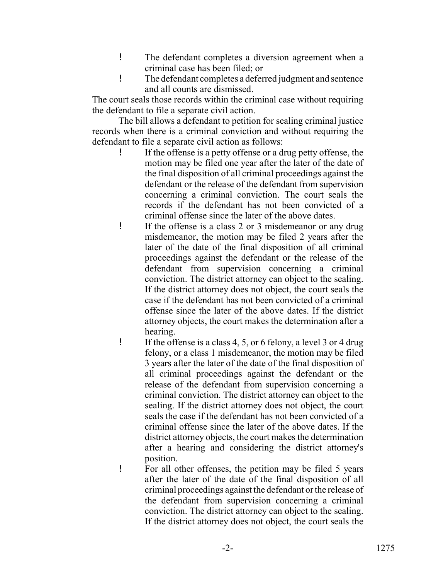- ! The defendant completes a diversion agreement when a criminal case has been filed; or
- ! The defendant completes a deferred judgment and sentence and all counts are dismissed.

The court seals those records within the criminal case without requiring the defendant to file a separate civil action.

The bill allows a defendant to petition for sealing criminal justice records when there is a criminal conviction and without requiring the defendant to file a separate civil action as follows:

- ! If the offense is a petty offense or a drug petty offense, the motion may be filed one year after the later of the date of the final disposition of all criminal proceedings against the defendant or the release of the defendant from supervision concerning a criminal conviction. The court seals the records if the defendant has not been convicted of a criminal offense since the later of the above dates.
- ! If the offense is a class 2 or 3 misdemeanor or any drug misdemeanor, the motion may be filed 2 years after the later of the date of the final disposition of all criminal proceedings against the defendant or the release of the defendant from supervision concerning a criminal conviction. The district attorney can object to the sealing. If the district attorney does not object, the court seals the case if the defendant has not been convicted of a criminal offense since the later of the above dates. If the district attorney objects, the court makes the determination after a hearing.
- ! If the offense is a class 4, 5, or 6 felony, a level 3 or 4 drug felony, or a class 1 misdemeanor, the motion may be filed 3 years after the later of the date of the final disposition of all criminal proceedings against the defendant or the release of the defendant from supervision concerning a criminal conviction. The district attorney can object to the sealing. If the district attorney does not object, the court seals the case if the defendant has not been convicted of a criminal offense since the later of the above dates. If the district attorney objects, the court makes the determination after a hearing and considering the district attorney's position.
- ! For all other offenses, the petition may be filed 5 years after the later of the date of the final disposition of all criminal proceedings against the defendant or the release of the defendant from supervision concerning a criminal conviction. The district attorney can object to the sealing. If the district attorney does not object, the court seals the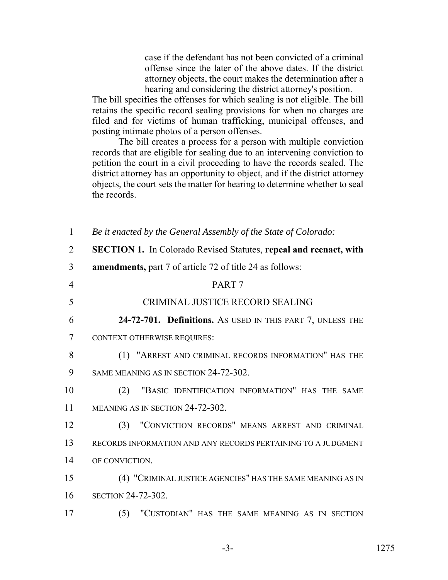case if the defendant has not been convicted of a criminal offense since the later of the above dates. If the district attorney objects, the court makes the determination after a hearing and considering the district attorney's position.

The bill specifies the offenses for which sealing is not eligible. The bill retains the specific record sealing provisions for when no charges are filed and for victims of human trafficking, municipal offenses, and posting intimate photos of a person offenses.

The bill creates a process for a person with multiple conviction records that are eligible for sealing due to an intervening conviction to petition the court in a civil proceeding to have the records sealed. The district attorney has an opportunity to object, and if the district attorney objects, the court sets the matter for hearing to determine whether to seal the records.

| $\mathbf{1}$   | Be it enacted by the General Assembly of the State of Colorado:          |
|----------------|--------------------------------------------------------------------------|
| $\overline{2}$ | <b>SECTION 1.</b> In Colorado Revised Statutes, repeal and reenact, with |
| 3              | <b>amendments, part 7 of article 72 of title 24 as follows:</b>          |
| $\overline{4}$ | PART <sub>7</sub>                                                        |
| 5              | CRIMINAL JUSTICE RECORD SEALING                                          |
| 6              | 24-72-701. Definitions. As USED IN THIS PART 7, UNLESS THE               |
| 7              | <b>CONTEXT OTHERWISE REQUIRES:</b>                                       |
| 8              | (1) "ARREST AND CRIMINAL RECORDS INFORMATION" HAS THE                    |
| 9              | SAME MEANING AS IN SECTION 24-72-302.                                    |
| 10             | "BASIC IDENTIFICATION INFORMATION" HAS THE SAME<br>(2)                   |
| 11             | MEANING AS IN SECTION 24-72-302.                                         |
| 12             | "CONVICTION RECORDS" MEANS ARREST AND CRIMINAL<br>(3)                    |
| 13             | RECORDS INFORMATION AND ANY RECORDS PERTAINING TO A JUDGMENT             |
| 14             | OF CONVICTION.                                                           |
| 15             | (4) "CRIMINAL JUSTICE AGENCIES" HAS THE SAME MEANING AS IN               |
| 16             | <b>SECTION 24-72-302.</b>                                                |
| 17             | "CUSTODIAN" HAS THE SAME MEANING AS IN SECTION<br>(5)                    |
|                |                                                                          |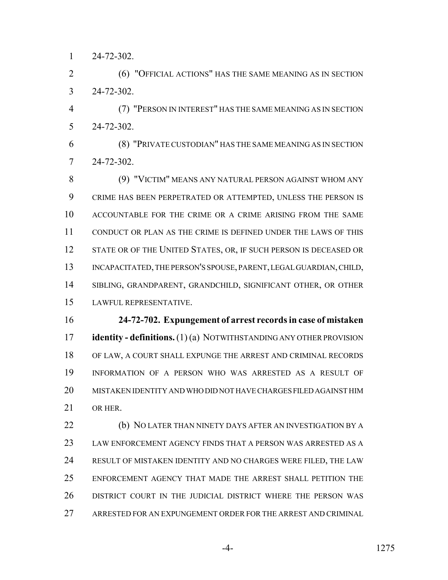24-72-302.

 (6) "OFFICIAL ACTIONS" HAS THE SAME MEANING AS IN SECTION 24-72-302.

 (7) "PERSON IN INTEREST" HAS THE SAME MEANING AS IN SECTION 24-72-302.

 (8) "PRIVATE CUSTODIAN" HAS THE SAME MEANING AS IN SECTION 24-72-302.

 (9) "VICTIM" MEANS ANY NATURAL PERSON AGAINST WHOM ANY CRIME HAS BEEN PERPETRATED OR ATTEMPTED, UNLESS THE PERSON IS ACCOUNTABLE FOR THE CRIME OR A CRIME ARISING FROM THE SAME CONDUCT OR PLAN AS THE CRIME IS DEFINED UNDER THE LAWS OF THIS 12 STATE OR OF THE UNITED STATES, OR, IF SUCH PERSON IS DECEASED OR 13 INCAPACITATED, THE PERSON'S SPOUSE, PARENT, LEGAL GUARDIAN, CHILD, SIBLING, GRANDPARENT, GRANDCHILD, SIGNIFICANT OTHER, OR OTHER LAWFUL REPRESENTATIVE.

 **24-72-702. Expungement of arrest records in case of mistaken identity - definitions.** (1) (a) NOTWITHSTANDING ANY OTHER PROVISION OF LAW, A COURT SHALL EXPUNGE THE ARREST AND CRIMINAL RECORDS INFORMATION OF A PERSON WHO WAS ARRESTED AS A RESULT OF MISTAKEN IDENTITY AND WHO DID NOT HAVE CHARGES FILED AGAINST HIM OR HER.

 (b) NO LATER THAN NINETY DAYS AFTER AN INVESTIGATION BY A LAW ENFORCEMENT AGENCY FINDS THAT A PERSON WAS ARRESTED AS A RESULT OF MISTAKEN IDENTITY AND NO CHARGES WERE FILED, THE LAW ENFORCEMENT AGENCY THAT MADE THE ARREST SHALL PETITION THE DISTRICT COURT IN THE JUDICIAL DISTRICT WHERE THE PERSON WAS ARRESTED FOR AN EXPUNGEMENT ORDER FOR THE ARREST AND CRIMINAL

-4- 1275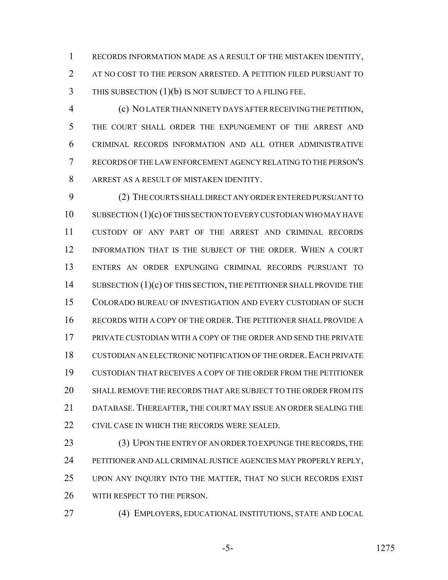RECORDS INFORMATION MADE AS A RESULT OF THE MISTAKEN IDENTITY, AT NO COST TO THE PERSON ARRESTED. A PETITION FILED PURSUANT TO THIS SUBSECTION (1)(b) IS NOT SUBJECT TO A FILING FEE.

 (c) NO LATER THAN NINETY DAYS AFTER RECEIVING THE PETITION, THE COURT SHALL ORDER THE EXPUNGEMENT OF THE ARREST AND CRIMINAL RECORDS INFORMATION AND ALL OTHER ADMINISTRATIVE RECORDS OF THE LAW ENFORCEMENT AGENCY RELATING TO THE PERSON'S ARREST AS A RESULT OF MISTAKEN IDENTITY.

 (2) THE COURTS SHALL DIRECT ANY ORDER ENTERED PURSUANT TO 10 SUBSECTION (1)(c) OF THIS SECTION TO EVERY CUSTODIAN WHO MAY HAVE CUSTODY OF ANY PART OF THE ARREST AND CRIMINAL RECORDS INFORMATION THAT IS THE SUBJECT OF THE ORDER. WHEN A COURT ENTERS AN ORDER EXPUNGING CRIMINAL RECORDS PURSUANT TO SUBSECTION (1)(c) OF THIS SECTION, THE PETITIONER SHALL PROVIDE THE COLORADO BUREAU OF INVESTIGATION AND EVERY CUSTODIAN OF SUCH RECORDS WITH A COPY OF THE ORDER. THE PETITIONER SHALL PROVIDE A PRIVATE CUSTODIAN WITH A COPY OF THE ORDER AND SEND THE PRIVATE 18 CUSTODIAN AN ELECTRONIC NOTIFICATION OF THE ORDER. EACH PRIVATE CUSTODIAN THAT RECEIVES A COPY OF THE ORDER FROM THE PETITIONER SHALL REMOVE THE RECORDS THAT ARE SUBJECT TO THE ORDER FROM ITS DATABASE. THEREAFTER, THE COURT MAY ISSUE AN ORDER SEALING THE CIVIL CASE IN WHICH THE RECORDS WERE SEALED.

23 (3) UPON THE ENTRY OF AN ORDER TO EXPUNGE THE RECORDS, THE PETITIONER AND ALL CRIMINAL JUSTICE AGENCIES MAY PROPERLY REPLY, UPON ANY INQUIRY INTO THE MATTER, THAT NO SUCH RECORDS EXIST WITH RESPECT TO THE PERSON.

(4) EMPLOYERS, EDUCATIONAL INSTITUTIONS, STATE AND LOCAL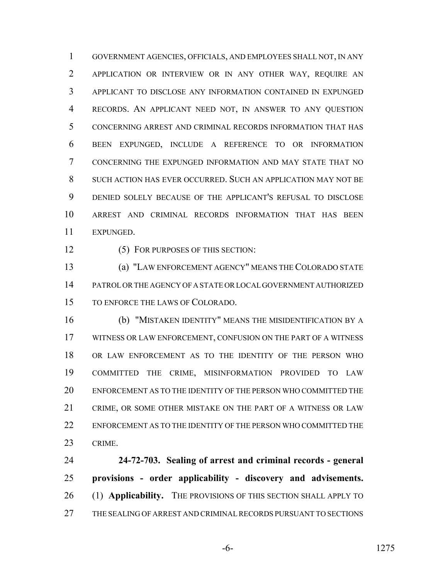GOVERNMENT AGENCIES, OFFICIALS, AND EMPLOYEES SHALL NOT, IN ANY APPLICATION OR INTERVIEW OR IN ANY OTHER WAY, REQUIRE AN APPLICANT TO DISCLOSE ANY INFORMATION CONTAINED IN EXPUNGED RECORDS. AN APPLICANT NEED NOT, IN ANSWER TO ANY QUESTION CONCERNING ARREST AND CRIMINAL RECORDS INFORMATION THAT HAS BEEN EXPUNGED, INCLUDE A REFERENCE TO OR INFORMATION CONCERNING THE EXPUNGED INFORMATION AND MAY STATE THAT NO SUCH ACTION HAS EVER OCCURRED. SUCH AN APPLICATION MAY NOT BE DENIED SOLELY BECAUSE OF THE APPLICANT'S REFUSAL TO DISCLOSE ARREST AND CRIMINAL RECORDS INFORMATION THAT HAS BEEN EXPUNGED.

12 (5) FOR PURPOSES OF THIS SECTION:

 (a) "LAW ENFORCEMENT AGENCY" MEANS THE COLORADO STATE PATROL OR THE AGENCY OF A STATE OR LOCAL GOVERNMENT AUTHORIZED TO ENFORCE THE LAWS OF COLORADO.

 (b) "MISTAKEN IDENTITY" MEANS THE MISIDENTIFICATION BY A WITNESS OR LAW ENFORCEMENT, CONFUSION ON THE PART OF A WITNESS OR LAW ENFORCEMENT AS TO THE IDENTITY OF THE PERSON WHO COMMITTED THE CRIME, MISINFORMATION PROVIDED TO LAW ENFORCEMENT AS TO THE IDENTITY OF THE PERSON WHO COMMITTED THE CRIME, OR SOME OTHER MISTAKE ON THE PART OF A WITNESS OR LAW ENFORCEMENT AS TO THE IDENTITY OF THE PERSON WHO COMMITTED THE CRIME.

 **24-72-703. Sealing of arrest and criminal records - general provisions - order applicability - discovery and advisements.** (1) **Applicability.** THE PROVISIONS OF THIS SECTION SHALL APPLY TO THE SEALING OF ARREST AND CRIMINAL RECORDS PURSUANT TO SECTIONS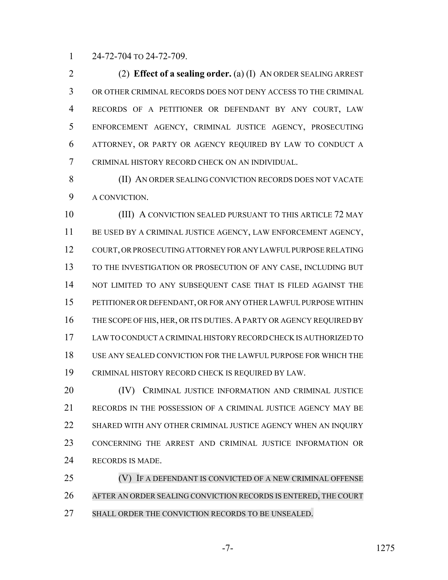24-72-704 TO 24-72-709.

 (2) **Effect of a sealing order.** (a) (I) AN ORDER SEALING ARREST OR OTHER CRIMINAL RECORDS DOES NOT DENY ACCESS TO THE CRIMINAL RECORDS OF A PETITIONER OR DEFENDANT BY ANY COURT, LAW ENFORCEMENT AGENCY, CRIMINAL JUSTICE AGENCY, PROSECUTING ATTORNEY, OR PARTY OR AGENCY REQUIRED BY LAW TO CONDUCT A CRIMINAL HISTORY RECORD CHECK ON AN INDIVIDUAL.

 (II) AN ORDER SEALING CONVICTION RECORDS DOES NOT VACATE A CONVICTION.

 (III) A CONVICTION SEALED PURSUANT TO THIS ARTICLE 72 MAY BE USED BY A CRIMINAL JUSTICE AGENCY, LAW ENFORCEMENT AGENCY, COURT, OR PROSECUTING ATTORNEY FOR ANY LAWFUL PURPOSE RELATING TO THE INVESTIGATION OR PROSECUTION OF ANY CASE, INCLUDING BUT 14 NOT LIMITED TO ANY SUBSEQUENT CASE THAT IS FILED AGAINST THE PETITIONER OR DEFENDANT, OR FOR ANY OTHER LAWFUL PURPOSE WITHIN 16 THE SCOPE OF HIS, HER, OR ITS DUTIES. A PARTY OR AGENCY REQUIRED BY LAW TO CONDUCT A CRIMINAL HISTORY RECORD CHECK IS AUTHORIZED TO USE ANY SEALED CONVICTION FOR THE LAWFUL PURPOSE FOR WHICH THE CRIMINAL HISTORY RECORD CHECK IS REQUIRED BY LAW.

**(IV)** CRIMINAL JUSTICE INFORMATION AND CRIMINAL JUSTICE RECORDS IN THE POSSESSION OF A CRIMINAL JUSTICE AGENCY MAY BE SHARED WITH ANY OTHER CRIMINAL JUSTICE AGENCY WHEN AN INQUIRY CONCERNING THE ARREST AND CRIMINAL JUSTICE INFORMATION OR RECORDS IS MADE.

 (V) IF A DEFENDANT IS CONVICTED OF A NEW CRIMINAL OFFENSE AFTER AN ORDER SEALING CONVICTION RECORDS IS ENTERED, THE COURT SHALL ORDER THE CONVICTION RECORDS TO BE UNSEALED.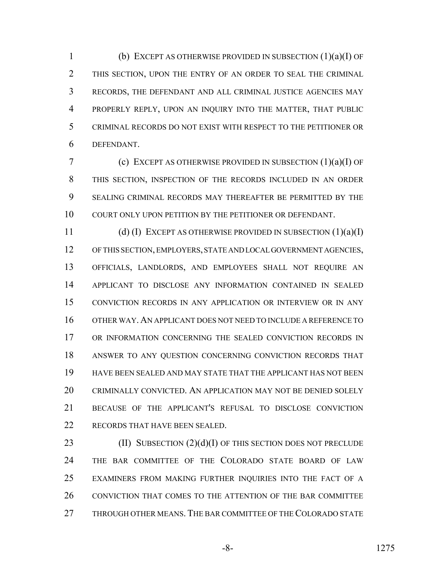(b) EXCEPT AS OTHERWISE PROVIDED IN SUBSECTION (1)(a)(I) OF THIS SECTION, UPON THE ENTRY OF AN ORDER TO SEAL THE CRIMINAL RECORDS, THE DEFENDANT AND ALL CRIMINAL JUSTICE AGENCIES MAY PROPERLY REPLY, UPON AN INQUIRY INTO THE MATTER, THAT PUBLIC CRIMINAL RECORDS DO NOT EXIST WITH RESPECT TO THE PETITIONER OR DEFENDANT.

 (c) EXCEPT AS OTHERWISE PROVIDED IN SUBSECTION (1)(a)(I) OF THIS SECTION, INSPECTION OF THE RECORDS INCLUDED IN AN ORDER SEALING CRIMINAL RECORDS MAY THEREAFTER BE PERMITTED BY THE COURT ONLY UPON PETITION BY THE PETITIONER OR DEFENDANT.

 (d) (I) EXCEPT AS OTHERWISE PROVIDED IN SUBSECTION (1)(a)(I) OF THIS SECTION, EMPLOYERS, STATE AND LOCAL GOVERNMENT AGENCIES, OFFICIALS, LANDLORDS, AND EMPLOYEES SHALL NOT REQUIRE AN APPLICANT TO DISCLOSE ANY INFORMATION CONTAINED IN SEALED CONVICTION RECORDS IN ANY APPLICATION OR INTERVIEW OR IN ANY OTHER WAY. AN APPLICANT DOES NOT NEED TO INCLUDE A REFERENCE TO OR INFORMATION CONCERNING THE SEALED CONVICTION RECORDS IN ANSWER TO ANY QUESTION CONCERNING CONVICTION RECORDS THAT HAVE BEEN SEALED AND MAY STATE THAT THE APPLICANT HAS NOT BEEN CRIMINALLY CONVICTED. AN APPLICATION MAY NOT BE DENIED SOLELY BECAUSE OF THE APPLICANT'S REFUSAL TO DISCLOSE CONVICTION RECORDS THAT HAVE BEEN SEALED.

23 (II) SUBSECTION (2)(d)(I) OF THIS SECTION DOES NOT PRECLUDE THE BAR COMMITTEE OF THE COLORADO STATE BOARD OF LAW EXAMINERS FROM MAKING FURTHER INQUIRIES INTO THE FACT OF A CONVICTION THAT COMES TO THE ATTENTION OF THE BAR COMMITTEE THROUGH OTHER MEANS. THE BAR COMMITTEE OF THE COLORADO STATE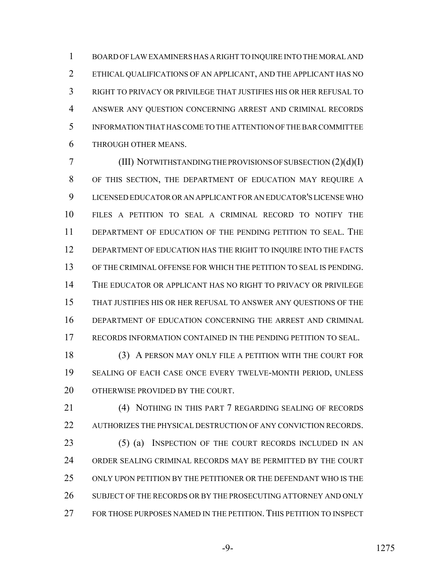BOARD OF LAW EXAMINERS HAS A RIGHT TO INQUIRE INTO THE MORAL AND ETHICAL QUALIFICATIONS OF AN APPLICANT, AND THE APPLICANT HAS NO RIGHT TO PRIVACY OR PRIVILEGE THAT JUSTIFIES HIS OR HER REFUSAL TO ANSWER ANY QUESTION CONCERNING ARREST AND CRIMINAL RECORDS INFORMATION THAT HAS COME TO THE ATTENTION OF THE BAR COMMITTEE THROUGH OTHER MEANS.

 (III) NOTWITHSTANDING THE PROVISIONS OF SUBSECTION (2)(d)(I) OF THIS SECTION, THE DEPARTMENT OF EDUCATION MAY REQUIRE A LICENSED EDUCATOR OR AN APPLICANT FOR AN EDUCATOR'S LICENSE WHO FILES A PETITION TO SEAL A CRIMINAL RECORD TO NOTIFY THE DEPARTMENT OF EDUCATION OF THE PENDING PETITION TO SEAL. THE DEPARTMENT OF EDUCATION HAS THE RIGHT TO INQUIRE INTO THE FACTS OF THE CRIMINAL OFFENSE FOR WHICH THE PETITION TO SEAL IS PENDING. THE EDUCATOR OR APPLICANT HAS NO RIGHT TO PRIVACY OR PRIVILEGE THAT JUSTIFIES HIS OR HER REFUSAL TO ANSWER ANY QUESTIONS OF THE DEPARTMENT OF EDUCATION CONCERNING THE ARREST AND CRIMINAL RECORDS INFORMATION CONTAINED IN THE PENDING PETITION TO SEAL.

 (3) A PERSON MAY ONLY FILE A PETITION WITH THE COURT FOR SEALING OF EACH CASE ONCE EVERY TWELVE-MONTH PERIOD, UNLESS 20 OTHERWISE PROVIDED BY THE COURT.

 (4) NOTHING IN THIS PART 7 REGARDING SEALING OF RECORDS AUTHORIZES THE PHYSICAL DESTRUCTION OF ANY CONVICTION RECORDS. 23 (5) (a) INSPECTION OF THE COURT RECORDS INCLUDED IN AN ORDER SEALING CRIMINAL RECORDS MAY BE PERMITTED BY THE COURT ONLY UPON PETITION BY THE PETITIONER OR THE DEFENDANT WHO IS THE 26 SUBJECT OF THE RECORDS OR BY THE PROSECUTING ATTORNEY AND ONLY FOR THOSE PURPOSES NAMED IN THE PETITION. THIS PETITION TO INSPECT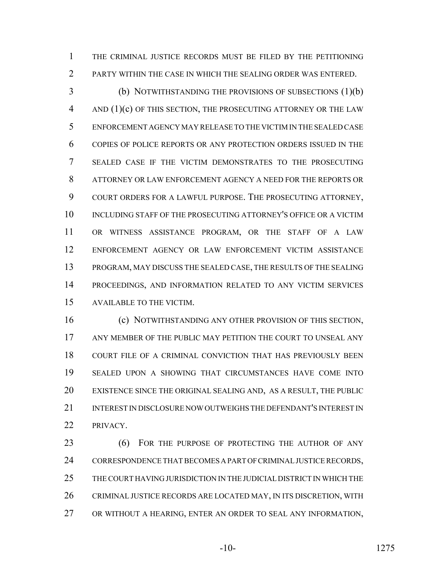THE CRIMINAL JUSTICE RECORDS MUST BE FILED BY THE PETITIONING PARTY WITHIN THE CASE IN WHICH THE SEALING ORDER WAS ENTERED.

 (b) NOTWITHSTANDING THE PROVISIONS OF SUBSECTIONS (1)(b) AND (1)(c) OF THIS SECTION, THE PROSECUTING ATTORNEY OR THE LAW ENFORCEMENT AGENCY MAY RELEASE TO THE VICTIM IN THE SEALED CASE COPIES OF POLICE REPORTS OR ANY PROTECTION ORDERS ISSUED IN THE SEALED CASE IF THE VICTIM DEMONSTRATES TO THE PROSECUTING ATTORNEY OR LAW ENFORCEMENT AGENCY A NEED FOR THE REPORTS OR COURT ORDERS FOR A LAWFUL PURPOSE. THE PROSECUTING ATTORNEY, INCLUDING STAFF OF THE PROSECUTING ATTORNEY'S OFFICE OR A VICTIM OR WITNESS ASSISTANCE PROGRAM, OR THE STAFF OF A LAW ENFORCEMENT AGENCY OR LAW ENFORCEMENT VICTIM ASSISTANCE PROGRAM, MAY DISCUSS THE SEALED CASE, THE RESULTS OF THE SEALING PROCEEDINGS, AND INFORMATION RELATED TO ANY VICTIM SERVICES AVAILABLE TO THE VICTIM.

 (c) NOTWITHSTANDING ANY OTHER PROVISION OF THIS SECTION, ANY MEMBER OF THE PUBLIC MAY PETITION THE COURT TO UNSEAL ANY COURT FILE OF A CRIMINAL CONVICTION THAT HAS PREVIOUSLY BEEN SEALED UPON A SHOWING THAT CIRCUMSTANCES HAVE COME INTO EXISTENCE SINCE THE ORIGINAL SEALING AND, AS A RESULT, THE PUBLIC INTEREST IN DISCLOSURE NOW OUTWEIGHS THE DEFENDANT'S INTEREST IN PRIVACY.

23 (6) FOR THE PURPOSE OF PROTECTING THE AUTHOR OF ANY CORRESPONDENCE THAT BECOMES A PART OF CRIMINAL JUSTICE RECORDS, THE COURT HAVING JURISDICTION IN THE JUDICIAL DISTRICT IN WHICH THE CRIMINAL JUSTICE RECORDS ARE LOCATED MAY, IN ITS DISCRETION, WITH OR WITHOUT A HEARING, ENTER AN ORDER TO SEAL ANY INFORMATION,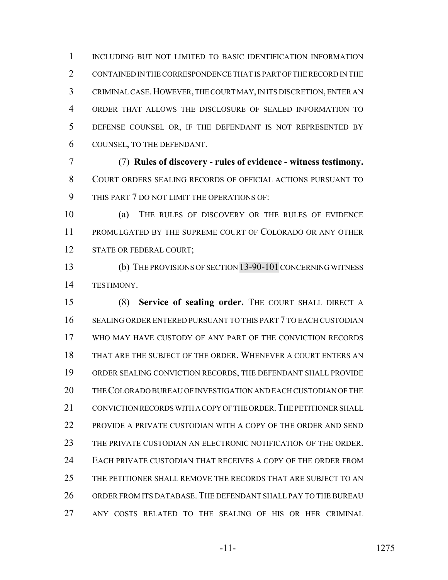INCLUDING BUT NOT LIMITED TO BASIC IDENTIFICATION INFORMATION CONTAINED IN THE CORRESPONDENCE THAT IS PART OF THE RECORD IN THE CRIMINAL CASE.HOWEVER, THE COURT MAY, IN ITS DISCRETION, ENTER AN ORDER THAT ALLOWS THE DISCLOSURE OF SEALED INFORMATION TO DEFENSE COUNSEL OR, IF THE DEFENDANT IS NOT REPRESENTED BY COUNSEL, TO THE DEFENDANT.

 (7) **Rules of discovery - rules of evidence - witness testimony.** COURT ORDERS SEALING RECORDS OF OFFICIAL ACTIONS PURSUANT TO THIS PART 7 DO NOT LIMIT THE OPERATIONS OF:

 (a) THE RULES OF DISCOVERY OR THE RULES OF EVIDENCE PROMULGATED BY THE SUPREME COURT OF COLORADO OR ANY OTHER 12 STATE OR FEDERAL COURT;

 (b) THE PROVISIONS OF SECTION 13-90-101 CONCERNING WITNESS TESTIMONY.

 (8) **Service of sealing order.** THE COURT SHALL DIRECT A SEALING ORDER ENTERED PURSUANT TO THIS PART 7 TO EACH CUSTODIAN WHO MAY HAVE CUSTODY OF ANY PART OF THE CONVICTION RECORDS THAT ARE THE SUBJECT OF THE ORDER. WHENEVER A COURT ENTERS AN ORDER SEALING CONVICTION RECORDS, THE DEFENDANT SHALL PROVIDE THE COLORADO BUREAU OF INVESTIGATION AND EACH CUSTODIAN OF THE 21 CONVICTION RECORDS WITH A COPY OF THE ORDER. THE PETITIONER SHALL PROVIDE A PRIVATE CUSTODIAN WITH A COPY OF THE ORDER AND SEND THE PRIVATE CUSTODIAN AN ELECTRONIC NOTIFICATION OF THE ORDER. EACH PRIVATE CUSTODIAN THAT RECEIVES A COPY OF THE ORDER FROM THE PETITIONER SHALL REMOVE THE RECORDS THAT ARE SUBJECT TO AN ORDER FROM ITS DATABASE. THE DEFENDANT SHALL PAY TO THE BUREAU ANY COSTS RELATED TO THE SEALING OF HIS OR HER CRIMINAL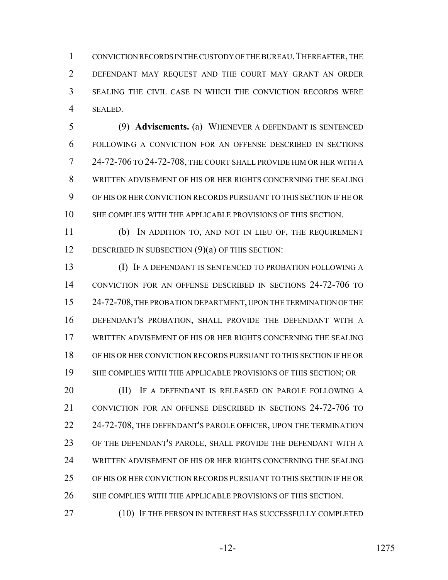CONVICTION RECORDS IN THE CUSTODY OF THE BUREAU.THEREAFTER, THE DEFENDANT MAY REQUEST AND THE COURT MAY GRANT AN ORDER SEALING THE CIVIL CASE IN WHICH THE CONVICTION RECORDS WERE SEALED.

 (9) **Advisements.** (a) WHENEVER A DEFENDANT IS SENTENCED FOLLOWING A CONVICTION FOR AN OFFENSE DESCRIBED IN SECTIONS 24-72-706 TO 24-72-708, THE COURT SHALL PROVIDE HIM OR HER WITH A WRITTEN ADVISEMENT OF HIS OR HER RIGHTS CONCERNING THE SEALING OF HIS OR HER CONVICTION RECORDS PURSUANT TO THIS SECTION IF HE OR SHE COMPLIES WITH THE APPLICABLE PROVISIONS OF THIS SECTION.

 (b) IN ADDITION TO, AND NOT IN LIEU OF, THE REQUIREMENT 12 DESCRIBED IN SUBSECTION (9)(a) OF THIS SECTION:

 (I) IF A DEFENDANT IS SENTENCED TO PROBATION FOLLOWING A CONVICTION FOR AN OFFENSE DESCRIBED IN SECTIONS 24-72-706 TO 24-72-708, THE PROBATION DEPARTMENT, UPON THE TERMINATION OF THE DEFENDANT'S PROBATION, SHALL PROVIDE THE DEFENDANT WITH A WRITTEN ADVISEMENT OF HIS OR HER RIGHTS CONCERNING THE SEALING OF HIS OR HER CONVICTION RECORDS PURSUANT TO THIS SECTION IF HE OR SHE COMPLIES WITH THE APPLICABLE PROVISIONS OF THIS SECTION; OR

**(II)** IF A DEFENDANT IS RELEASED ON PAROLE FOLLOWING A CONVICTION FOR AN OFFENSE DESCRIBED IN SECTIONS 24-72-706 TO 22 24-72-708, THE DEFENDANT'S PAROLE OFFICER, UPON THE TERMINATION OF THE DEFENDANT'S PAROLE, SHALL PROVIDE THE DEFENDANT WITH A WRITTEN ADVISEMENT OF HIS OR HER RIGHTS CONCERNING THE SEALING OF HIS OR HER CONVICTION RECORDS PURSUANT TO THIS SECTION IF HE OR SHE COMPLIES WITH THE APPLICABLE PROVISIONS OF THIS SECTION.

27 (10) IF THE PERSON IN INTEREST HAS SUCCESSFULLY COMPLETED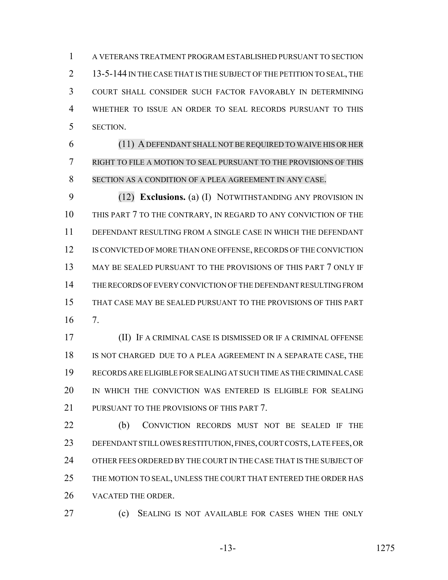A VETERANS TREATMENT PROGRAM ESTABLISHED PURSUANT TO SECTION 2 13-5-144 IN THE CASE THAT IS THE SUBJECT OF THE PETITION TO SEAL, THE COURT SHALL CONSIDER SUCH FACTOR FAVORABLY IN DETERMINING WHETHER TO ISSUE AN ORDER TO SEAL RECORDS PURSUANT TO THIS SECTION.

 (11) ADEFENDANT SHALL NOT BE REQUIRED TO WAIVE HIS OR HER RIGHT TO FILE A MOTION TO SEAL PURSUANT TO THE PROVISIONS OF THIS SECTION AS A CONDITION OF A PLEA AGREEMENT IN ANY CASE.

 (12) **Exclusions.** (a) (I) NOTWITHSTANDING ANY PROVISION IN THIS PART 7 TO THE CONTRARY, IN REGARD TO ANY CONVICTION OF THE DEFENDANT RESULTING FROM A SINGLE CASE IN WHICH THE DEFENDANT 12 IS CONVICTED OF MORE THAN ONE OFFENSE, RECORDS OF THE CONVICTION MAY BE SEALED PURSUANT TO THE PROVISIONS OF THIS PART 7 ONLY IF THE RECORDS OF EVERY CONVICTION OF THE DEFENDANT RESULTING FROM THAT CASE MAY BE SEALED PURSUANT TO THE PROVISIONS OF THIS PART 7.

 (II) IF A CRIMINAL CASE IS DISMISSED OR IF A CRIMINAL OFFENSE IS NOT CHARGED DUE TO A PLEA AGREEMENT IN A SEPARATE CASE, THE RECORDS ARE ELIGIBLE FOR SEALING AT SUCH TIME AS THE CRIMINAL CASE IN WHICH THE CONVICTION WAS ENTERED IS ELIGIBLE FOR SEALING 21 PURSUANT TO THE PROVISIONS OF THIS PART 7.

 (b) CONVICTION RECORDS MUST NOT BE SEALED IF THE DEFENDANT STILL OWES RESTITUTION, FINES, COURT COSTS, LATE FEES, OR 24 OTHER FEES ORDERED BY THE COURT IN THE CASE THAT IS THE SUBJECT OF THE MOTION TO SEAL, UNLESS THE COURT THAT ENTERED THE ORDER HAS VACATED THE ORDER.

(c) SEALING IS NOT AVAILABLE FOR CASES WHEN THE ONLY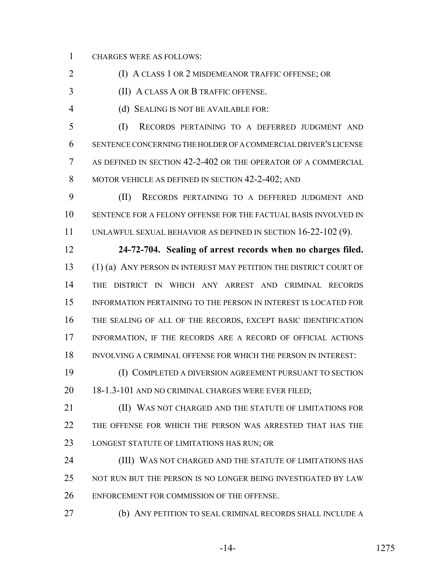CHARGES WERE AS FOLLOWS:

(I) A CLASS 1 OR 2 MISDEMEANOR TRAFFIC OFFENSE; OR

(II) A CLASS A OR B TRAFFIC OFFENSE.

(d) SEALING IS NOT BE AVAILABLE FOR:

 (I) RECORDS PERTAINING TO A DEFERRED JUDGMENT AND SENTENCE CONCERNING THE HOLDER OF A COMMERCIAL DRIVER'S LICENSE AS DEFINED IN SECTION 42-2-402 OR THE OPERATOR OF A COMMERCIAL 8 MOTOR VEHICLE AS DEFINED IN SECTION 42-2-402; AND

 (II) RECORDS PERTAINING TO A DEFFERED JUDGMENT AND SENTENCE FOR A FELONY OFFENSE FOR THE FACTUAL BASIS INVOLVED IN UNLAWFUL SEXUAL BEHAVIOR AS DEFINED IN SECTION 16-22-102 (9).

 **24-72-704. Sealing of arrest records when no charges filed.** (1) (a) ANY PERSON IN INTEREST MAY PETITION THE DISTRICT COURT OF THE DISTRICT IN WHICH ANY ARREST AND CRIMINAL RECORDS INFORMATION PERTAINING TO THE PERSON IN INTEREST IS LOCATED FOR THE SEALING OF ALL OF THE RECORDS, EXCEPT BASIC IDENTIFICATION INFORMATION, IF THE RECORDS ARE A RECORD OF OFFICIAL ACTIONS INVOLVING A CRIMINAL OFFENSE FOR WHICH THE PERSON IN INTEREST:

 (I) COMPLETED A DIVERSION AGREEMENT PURSUANT TO SECTION 18-1.3-101 AND NO CRIMINAL CHARGES WERE EVER FILED;

**III) WAS NOT CHARGED AND THE STATUTE OF LIMITATIONS FOR**  THE OFFENSE FOR WHICH THE PERSON WAS ARRESTED THAT HAS THE LONGEST STATUTE OF LIMITATIONS HAS RUN; OR

 (III) WAS NOT CHARGED AND THE STATUTE OF LIMITATIONS HAS NOT RUN BUT THE PERSON IS NO LONGER BEING INVESTIGATED BY LAW ENFORCEMENT FOR COMMISSION OF THE OFFENSE.

(b) ANY PETITION TO SEAL CRIMINAL RECORDS SHALL INCLUDE A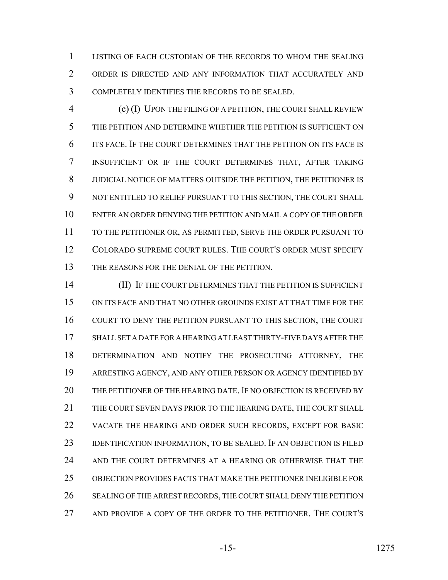LISTING OF EACH CUSTODIAN OF THE RECORDS TO WHOM THE SEALING ORDER IS DIRECTED AND ANY INFORMATION THAT ACCURATELY AND COMPLETELY IDENTIFIES THE RECORDS TO BE SEALED.

 (c) (I) UPON THE FILING OF A PETITION, THE COURT SHALL REVIEW THE PETITION AND DETERMINE WHETHER THE PETITION IS SUFFICIENT ON ITS FACE. IF THE COURT DETERMINES THAT THE PETITION ON ITS FACE IS INSUFFICIENT OR IF THE COURT DETERMINES THAT, AFTER TAKING JUDICIAL NOTICE OF MATTERS OUTSIDE THE PETITION, THE PETITIONER IS NOT ENTITLED TO RELIEF PURSUANT TO THIS SECTION, THE COURT SHALL ENTER AN ORDER DENYING THE PETITION AND MAIL A COPY OF THE ORDER TO THE PETITIONER OR, AS PERMITTED, SERVE THE ORDER PURSUANT TO COLORADO SUPREME COURT RULES. THE COURT'S ORDER MUST SPECIFY THE REASONS FOR THE DENIAL OF THE PETITION.

 (II) IF THE COURT DETERMINES THAT THE PETITION IS SUFFICIENT ON ITS FACE AND THAT NO OTHER GROUNDS EXIST AT THAT TIME FOR THE COURT TO DENY THE PETITION PURSUANT TO THIS SECTION, THE COURT SHALL SET A DATE FOR A HEARING AT LEAST THIRTY-FIVE DAYS AFTER THE DETERMINATION AND NOTIFY THE PROSECUTING ATTORNEY, THE ARRESTING AGENCY, AND ANY OTHER PERSON OR AGENCY IDENTIFIED BY THE PETITIONER OF THE HEARING DATE. IF NO OBJECTION IS RECEIVED BY THE COURT SEVEN DAYS PRIOR TO THE HEARING DATE, THE COURT SHALL VACATE THE HEARING AND ORDER SUCH RECORDS, EXCEPT FOR BASIC 23 IDENTIFICATION INFORMATION, TO BE SEALED. IF AN OBJECTION IS FILED 24 AND THE COURT DETERMINES AT A HEARING OR OTHERWISE THAT THE OBJECTION PROVIDES FACTS THAT MAKE THE PETITIONER INELIGIBLE FOR SEALING OF THE ARREST RECORDS, THE COURT SHALL DENY THE PETITION AND PROVIDE A COPY OF THE ORDER TO THE PETITIONER. THE COURT'S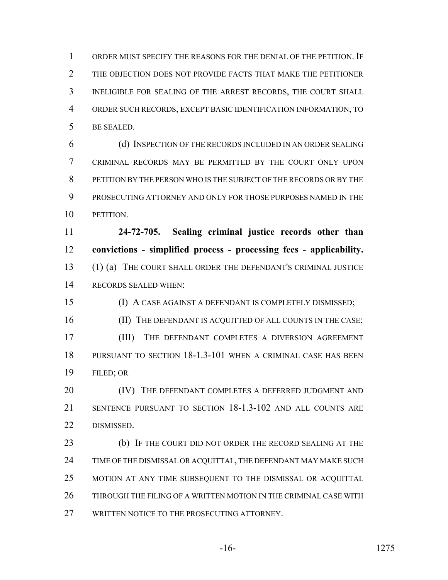ORDER MUST SPECIFY THE REASONS FOR THE DENIAL OF THE PETITION. IF THE OBJECTION DOES NOT PROVIDE FACTS THAT MAKE THE PETITIONER INELIGIBLE FOR SEALING OF THE ARREST RECORDS, THE COURT SHALL ORDER SUCH RECORDS, EXCEPT BASIC IDENTIFICATION INFORMATION, TO BE SEALED.

 (d) INSPECTION OF THE RECORDS INCLUDED IN AN ORDER SEALING CRIMINAL RECORDS MAY BE PERMITTED BY THE COURT ONLY UPON PETITION BY THE PERSON WHO IS THE SUBJECT OF THE RECORDS OR BY THE PROSECUTING ATTORNEY AND ONLY FOR THOSE PURPOSES NAMED IN THE PETITION.

 **24-72-705. Sealing criminal justice records other than convictions - simplified process - processing fees - applicability.** (1) (a) THE COURT SHALL ORDER THE DEFENDANT'S CRIMINAL JUSTICE RECORDS SEALED WHEN:

 (I) A CASE AGAINST A DEFENDANT IS COMPLETELY DISMISSED; 16 (II) THE DEFENDANT IS ACQUITTED OF ALL COUNTS IN THE CASE; (III) THE DEFENDANT COMPLETES A DIVERSION AGREEMENT PURSUANT TO SECTION 18-1.3-101 WHEN A CRIMINAL CASE HAS BEEN FILED; OR

20 (IV) THE DEFENDANT COMPLETES A DEFERRED JUDGMENT AND SENTENCE PURSUANT TO SECTION 18-1.3-102 AND ALL COUNTS ARE DISMISSED.

 (b) IF THE COURT DID NOT ORDER THE RECORD SEALING AT THE 24 TIME OF THE DISMISSAL OR ACQUITTAL, THE DEFENDANT MAY MAKE SUCH MOTION AT ANY TIME SUBSEQUENT TO THE DISMISSAL OR ACQUITTAL THROUGH THE FILING OF A WRITTEN MOTION IN THE CRIMINAL CASE WITH 27 WRITTEN NOTICE TO THE PROSECUTING ATTORNEY.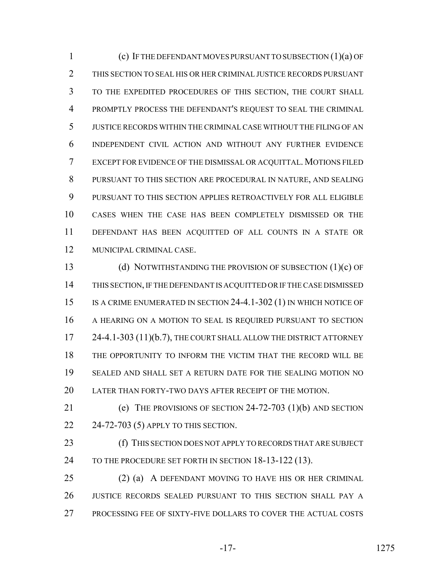(c) IF THE DEFENDANT MOVES PURSUANT TO SUBSECTION (1)(a) OF THIS SECTION TO SEAL HIS OR HER CRIMINAL JUSTICE RECORDS PURSUANT TO THE EXPEDITED PROCEDURES OF THIS SECTION, THE COURT SHALL PROMPTLY PROCESS THE DEFENDANT'S REQUEST TO SEAL THE CRIMINAL JUSTICE RECORDS WITHIN THE CRIMINAL CASE WITHOUT THE FILING OF AN INDEPENDENT CIVIL ACTION AND WITHOUT ANY FURTHER EVIDENCE EXCEPT FOR EVIDENCE OF THE DISMISSAL OR ACQUITTAL. MOTIONS FILED PURSUANT TO THIS SECTION ARE PROCEDURAL IN NATURE, AND SEALING PURSUANT TO THIS SECTION APPLIES RETROACTIVELY FOR ALL ELIGIBLE CASES WHEN THE CASE HAS BEEN COMPLETELY DISMISSED OR THE DEFENDANT HAS BEEN ACQUITTED OF ALL COUNTS IN A STATE OR MUNICIPAL CRIMINAL CASE.

 (d) NOTWITHSTANDING THE PROVISION OF SUBSECTION (1)(c) OF THIS SECTION, IF THE DEFENDANT IS ACQUITTED OR IF THE CASE DISMISSED IS A CRIME ENUMERATED IN SECTION 24-4.1-302 (1) IN WHICH NOTICE OF A HEARING ON A MOTION TO SEAL IS REQUIRED PURSUANT TO SECTION 17 24-4.1-303 (11)(b.7), THE COURT SHALL ALLOW THE DISTRICT ATTORNEY THE OPPORTUNITY TO INFORM THE VICTIM THAT THE RECORD WILL BE SEALED AND SHALL SET A RETURN DATE FOR THE SEALING MOTION NO LATER THAN FORTY-TWO DAYS AFTER RECEIPT OF THE MOTION.

 (e) THE PROVISIONS OF SECTION 24-72-703 (1)(b) AND SECTION 24-72-703 (5) APPLY TO THIS SECTION.

 (f) THIS SECTION DOES NOT APPLY TO RECORDS THAT ARE SUBJECT 24 TO THE PROCEDURE SET FORTH IN SECTION 18-13-122 (13).

 (2) (a) A DEFENDANT MOVING TO HAVE HIS OR HER CRIMINAL JUSTICE RECORDS SEALED PURSUANT TO THIS SECTION SHALL PAY A PROCESSING FEE OF SIXTY-FIVE DOLLARS TO COVER THE ACTUAL COSTS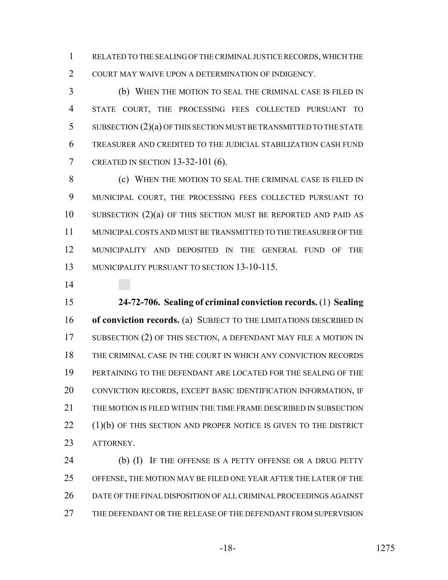RELATED TO THE SEALING OF THE CRIMINAL JUSTICE RECORDS, WHICH THE COURT MAY WAIVE UPON A DETERMINATION OF INDIGENCY.

 (b) WHEN THE MOTION TO SEAL THE CRIMINAL CASE IS FILED IN STATE COURT, THE PROCESSING FEES COLLECTED PURSUANT TO SUBSECTION (2)(a) OF THIS SECTION MUST BE TRANSMITTED TO THE STATE TREASURER AND CREDITED TO THE JUDICIAL STABILIZATION CASH FUND CREATED IN SECTION 13-32-101 (6).

 (c) WHEN THE MOTION TO SEAL THE CRIMINAL CASE IS FILED IN MUNICIPAL COURT, THE PROCESSING FEES COLLECTED PURSUANT TO SUBSECTION (2)(a) OF THIS SECTION MUST BE REPORTED AND PAID AS MUNICIPAL COSTS AND MUST BE TRANSMITTED TO THE TREASURER OF THE MUNICIPALITY AND DEPOSITED IN THE GENERAL FUND OF THE MUNICIPALITY PURSUANT TO SECTION 13-10-115.

 **24-72-706. Sealing of criminal conviction records.** (1) **Sealing of conviction records.** (a) SUBJECT TO THE LIMITATIONS DESCRIBED IN 17 SUBSECTION (2) OF THIS SECTION, A DEFENDANT MAY FILE A MOTION IN THE CRIMINAL CASE IN THE COURT IN WHICH ANY CONVICTION RECORDS PERTAINING TO THE DEFENDANT ARE LOCATED FOR THE SEALING OF THE CONVICTION RECORDS, EXCEPT BASIC IDENTIFICATION INFORMATION, IF THE MOTION IS FILED WITHIN THE TIME FRAME DESCRIBED IN SUBSECTION 22 (1)(b) OF THIS SECTION AND PROPER NOTICE IS GIVEN TO THE DISTRICT ATTORNEY.

24 (b) (I) IF THE OFFENSE IS A PETTY OFFENSE OR A DRUG PETTY OFFENSE, THE MOTION MAY BE FILED ONE YEAR AFTER THE LATER OF THE DATE OF THE FINAL DISPOSITION OF ALL CRIMINAL PROCEEDINGS AGAINST THE DEFENDANT OR THE RELEASE OF THE DEFENDANT FROM SUPERVISION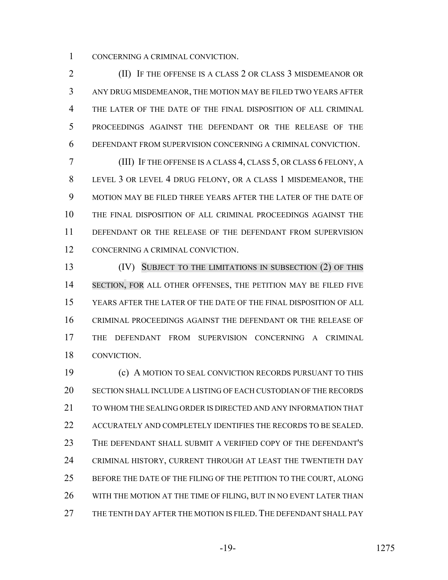CONCERNING A CRIMINAL CONVICTION.

 (II) IF THE OFFENSE IS A CLASS 2 OR CLASS 3 MISDEMEANOR OR ANY DRUG MISDEMEANOR, THE MOTION MAY BE FILED TWO YEARS AFTER THE LATER OF THE DATE OF THE FINAL DISPOSITION OF ALL CRIMINAL PROCEEDINGS AGAINST THE DEFENDANT OR THE RELEASE OF THE DEFENDANT FROM SUPERVISION CONCERNING A CRIMINAL CONVICTION.

 (III) IF THE OFFENSE IS A CLASS 4, CLASS 5, OR CLASS 6 FELONY, A LEVEL 3 OR LEVEL 4 DRUG FELONY, OR A CLASS 1 MISDEMEANOR, THE MOTION MAY BE FILED THREE YEARS AFTER THE LATER OF THE DATE OF THE FINAL DISPOSITION OF ALL CRIMINAL PROCEEDINGS AGAINST THE DEFENDANT OR THE RELEASE OF THE DEFENDANT FROM SUPERVISION CONCERNING A CRIMINAL CONVICTION.

**(IV)** SUBJECT TO THE LIMITATIONS IN SUBSECTION (2) OF THIS 14 SECTION, FOR ALL OTHER OFFENSES, THE PETITION MAY BE FILED FIVE YEARS AFTER THE LATER OF THE DATE OF THE FINAL DISPOSITION OF ALL CRIMINAL PROCEEDINGS AGAINST THE DEFENDANT OR THE RELEASE OF THE DEFENDANT FROM SUPERVISION CONCERNING A CRIMINAL CONVICTION.

 (c) A MOTION TO SEAL CONVICTION RECORDS PURSUANT TO THIS SECTION SHALL INCLUDE A LISTING OF EACH CUSTODIAN OF THE RECORDS TO WHOM THE SEALING ORDER IS DIRECTED AND ANY INFORMATION THAT ACCURATELY AND COMPLETELY IDENTIFIES THE RECORDS TO BE SEALED. THE DEFENDANT SHALL SUBMIT A VERIFIED COPY OF THE DEFENDANT'S CRIMINAL HISTORY, CURRENT THROUGH AT LEAST THE TWENTIETH DAY 25 BEFORE THE DATE OF THE FILING OF THE PETITION TO THE COURT, ALONG 26 WITH THE MOTION AT THE TIME OF FILING, BUT IN NO EVENT LATER THAN 27 THE TENTH DAY AFTER THE MOTION IS FILED. THE DEFENDANT SHALL PAY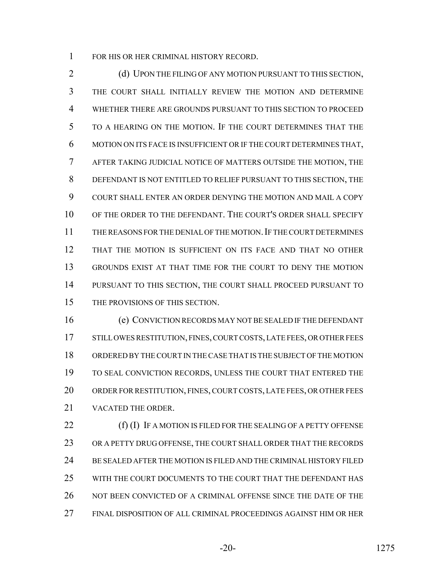FOR HIS OR HER CRIMINAL HISTORY RECORD.

2 (d) UPON THE FILING OF ANY MOTION PURSUANT TO THIS SECTION, THE COURT SHALL INITIALLY REVIEW THE MOTION AND DETERMINE WHETHER THERE ARE GROUNDS PURSUANT TO THIS SECTION TO PROCEED TO A HEARING ON THE MOTION. IF THE COURT DETERMINES THAT THE MOTION ON ITS FACE IS INSUFFICIENT OR IF THE COURT DETERMINES THAT, AFTER TAKING JUDICIAL NOTICE OF MATTERS OUTSIDE THE MOTION, THE DEFENDANT IS NOT ENTITLED TO RELIEF PURSUANT TO THIS SECTION, THE COURT SHALL ENTER AN ORDER DENYING THE MOTION AND MAIL A COPY OF THE ORDER TO THE DEFENDANT. THE COURT'S ORDER SHALL SPECIFY THE REASONS FOR THE DENIAL OF THE MOTION.IF THE COURT DETERMINES THAT THE MOTION IS SUFFICIENT ON ITS FACE AND THAT NO OTHER GROUNDS EXIST AT THAT TIME FOR THE COURT TO DENY THE MOTION PURSUANT TO THIS SECTION, THE COURT SHALL PROCEED PURSUANT TO THE PROVISIONS OF THIS SECTION.

 (e) CONVICTION RECORDS MAY NOT BE SEALED IF THE DEFENDANT 17 STILL OWES RESTITUTION, FINES, COURT COSTS, LATE FEES, OR OTHER FEES ORDERED BY THE COURT IN THE CASE THAT IS THE SUBJECT OF THE MOTION TO SEAL CONVICTION RECORDS, UNLESS THE COURT THAT ENTERED THE ORDER FOR RESTITUTION, FINES, COURT COSTS, LATE FEES, OR OTHER FEES VACATED THE ORDER.

22 (f) (I) IF A MOTION IS FILED FOR THE SEALING OF A PETTY OFFENSE OR A PETTY DRUG OFFENSE, THE COURT SHALL ORDER THAT THE RECORDS BE SEALED AFTER THE MOTION IS FILED AND THE CRIMINAL HISTORY FILED WITH THE COURT DOCUMENTS TO THE COURT THAT THE DEFENDANT HAS 26 NOT BEEN CONVICTED OF A CRIMINAL OFFENSE SINCE THE DATE OF THE FINAL DISPOSITION OF ALL CRIMINAL PROCEEDINGS AGAINST HIM OR HER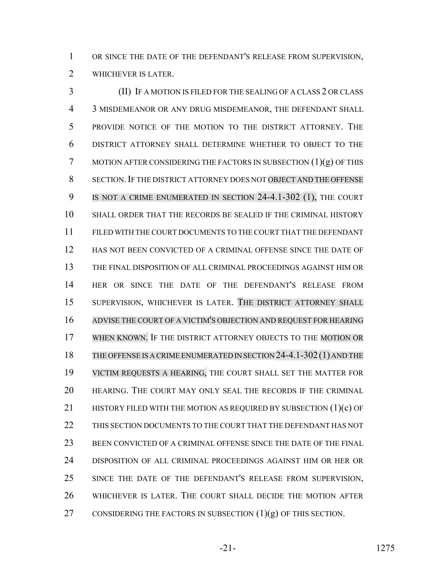OR SINCE THE DATE OF THE DEFENDANT'S RELEASE FROM SUPERVISION, WHICHEVER IS LATER.

 (II) IF A MOTION IS FILED FOR THE SEALING OF A CLASS 2 OR CLASS 3 MISDEMEANOR OR ANY DRUG MISDEMEANOR, THE DEFENDANT SHALL PROVIDE NOTICE OF THE MOTION TO THE DISTRICT ATTORNEY. THE DISTRICT ATTORNEY SHALL DETERMINE WHETHER TO OBJECT TO THE 7 MOTION AFTER CONSIDERING THE FACTORS IN SUBSECTION  $(1)(g)$  OF THIS 8 SECTION. IF THE DISTRICT ATTORNEY DOES NOT OBJECT AND THE OFFENSE 9 IS NOT A CRIME ENUMERATED IN SECTION 24-4.1-302 (1), THE COURT SHALL ORDER THAT THE RECORDS BE SEALED IF THE CRIMINAL HISTORY FILED WITH THE COURT DOCUMENTS TO THE COURT THAT THE DEFENDANT HAS NOT BEEN CONVICTED OF A CRIMINAL OFFENSE SINCE THE DATE OF THE FINAL DISPOSITION OF ALL CRIMINAL PROCEEDINGS AGAINST HIM OR HER OR SINCE THE DATE OF THE DEFENDANT'S RELEASE FROM SUPERVISION, WHICHEVER IS LATER. THE DISTRICT ATTORNEY SHALL ADVISE THE COURT OF A VICTIM'S OBJECTION AND REQUEST FOR HEARING 17 WHEN KNOWN. IF THE DISTRICT ATTORNEY OBJECTS TO THE MOTION OR 18 THE OFFENSE IS A CRIME ENUMERATED IN SECTION 24-4.1-302 (1) AND THE VICTIM REQUESTS A HEARING, THE COURT SHALL SET THE MATTER FOR HEARING. THE COURT MAY ONLY SEAL THE RECORDS IF THE CRIMINAL 21 HISTORY FILED WITH THE MOTION AS REQUIRED BY SUBSECTION (1)(c) OF THIS SECTION DOCUMENTS TO THE COURT THAT THE DEFENDANT HAS NOT BEEN CONVICTED OF A CRIMINAL OFFENSE SINCE THE DATE OF THE FINAL DISPOSITION OF ALL CRIMINAL PROCEEDINGS AGAINST HIM OR HER OR SINCE THE DATE OF THE DEFENDANT'S RELEASE FROM SUPERVISION, WHICHEVER IS LATER. THE COURT SHALL DECIDE THE MOTION AFTER 27 CONSIDERING THE FACTORS IN SUBSECTION  $(1)(g)$  OF THIS SECTION.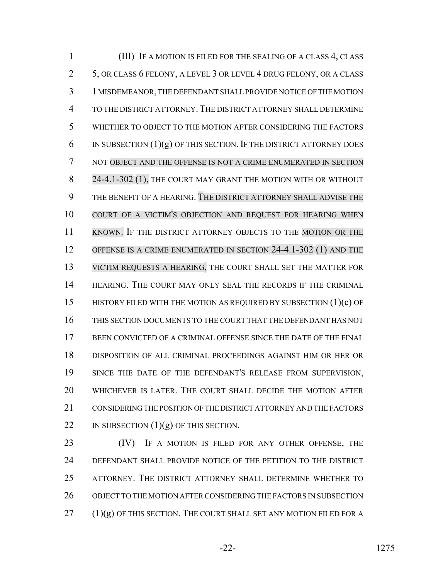(III) IF A MOTION IS FILED FOR THE SEALING OF A CLASS 4, CLASS 5, OR CLASS 6 FELONY, A LEVEL 3 OR LEVEL 4 DRUG FELONY, OR A CLASS 1 MISDEMEANOR, THE DEFENDANT SHALL PROVIDE NOTICE OF THE MOTION TO THE DISTRICT ATTORNEY.THE DISTRICT ATTORNEY SHALL DETERMINE WHETHER TO OBJECT TO THE MOTION AFTER CONSIDERING THE FACTORS 6 IN SUBSECTION  $(1)(g)$  OF THIS SECTION. IF THE DISTRICT ATTORNEY DOES NOT OBJECT AND THE OFFENSE IS NOT A CRIME ENUMERATED IN SECTION 8 24-4.1-302 (1), THE COURT MAY GRANT THE MOTION WITH OR WITHOUT THE BENEFIT OF A HEARING. THE DISTRICT ATTORNEY SHALL ADVISE THE COURT OF A VICTIM'S OBJECTION AND REQUEST FOR HEARING WHEN KNOWN. IF THE DISTRICT ATTORNEY OBJECTS TO THE MOTION OR THE OFFENSE IS A CRIME ENUMERATED IN SECTION 24-4.1-302 (1) AND THE VICTIM REQUESTS A HEARING, THE COURT SHALL SET THE MATTER FOR 14 HEARING. THE COURT MAY ONLY SEAL THE RECORDS IF THE CRIMINAL HISTORY FILED WITH THE MOTION AS REQUIRED BY SUBSECTION (1)(c) OF THIS SECTION DOCUMENTS TO THE COURT THAT THE DEFENDANT HAS NOT BEEN CONVICTED OF A CRIMINAL OFFENSE SINCE THE DATE OF THE FINAL DISPOSITION OF ALL CRIMINAL PROCEEDINGS AGAINST HIM OR HER OR SINCE THE DATE OF THE DEFENDANT'S RELEASE FROM SUPERVISION, WHICHEVER IS LATER. THE COURT SHALL DECIDE THE MOTION AFTER CONSIDERING THE POSITION OF THE DISTRICT ATTORNEY AND THE FACTORS 22 IN SUBSECTION  $(1)(g)$  OF THIS SECTION.

23 (IV) IF A MOTION IS FILED FOR ANY OTHER OFFENSE, THE DEFENDANT SHALL PROVIDE NOTICE OF THE PETITION TO THE DISTRICT ATTORNEY. THE DISTRICT ATTORNEY SHALL DETERMINE WHETHER TO OBJECT TO THE MOTION AFTER CONSIDERING THE FACTORS IN SUBSECTION (1)(g) OF THIS SECTION. THE COURT SHALL SET ANY MOTION FILED FOR A

-22- 1275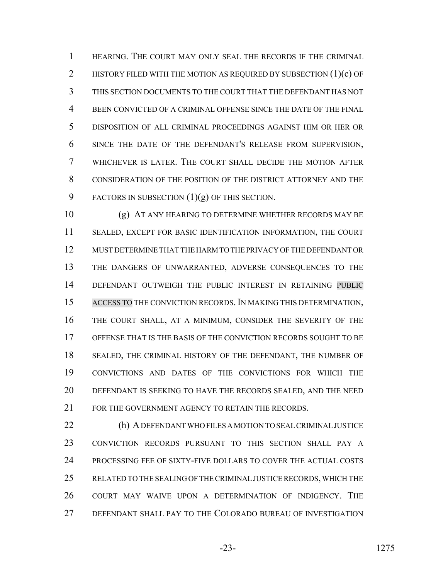HEARING. THE COURT MAY ONLY SEAL THE RECORDS IF THE CRIMINAL 2 HISTORY FILED WITH THE MOTION AS REQUIRED BY SUBSECTION (1)(c) OF THIS SECTION DOCUMENTS TO THE COURT THAT THE DEFENDANT HAS NOT BEEN CONVICTED OF A CRIMINAL OFFENSE SINCE THE DATE OF THE FINAL DISPOSITION OF ALL CRIMINAL PROCEEDINGS AGAINST HIM OR HER OR SINCE THE DATE OF THE DEFENDANT'S RELEASE FROM SUPERVISION, WHICHEVER IS LATER. THE COURT SHALL DECIDE THE MOTION AFTER CONSIDERATION OF THE POSITION OF THE DISTRICT ATTORNEY AND THE 9 FACTORS IN SUBSECTION  $(1)(g)$  OF THIS SECTION.

 (g) AT ANY HEARING TO DETERMINE WHETHER RECORDS MAY BE SEALED, EXCEPT FOR BASIC IDENTIFICATION INFORMATION, THE COURT MUST DETERMINE THAT THE HARM TO THE PRIVACY OF THE DEFENDANT OR THE DANGERS OF UNWARRANTED, ADVERSE CONSEQUENCES TO THE DEFENDANT OUTWEIGH THE PUBLIC INTEREST IN RETAINING PUBLIC ACCESS TO THE CONVICTION RECORDS. IN MAKING THIS DETERMINATION, THE COURT SHALL, AT A MINIMUM, CONSIDER THE SEVERITY OF THE OFFENSE THAT IS THE BASIS OF THE CONVICTION RECORDS SOUGHT TO BE SEALED, THE CRIMINAL HISTORY OF THE DEFENDANT, THE NUMBER OF CONVICTIONS AND DATES OF THE CONVICTIONS FOR WHICH THE DEFENDANT IS SEEKING TO HAVE THE RECORDS SEALED, AND THE NEED 21 FOR THE GOVERNMENT AGENCY TO RETAIN THE RECORDS.

 (h) A DEFENDANT WHO FILES A MOTION TO SEAL CRIMINAL JUSTICE CONVICTION RECORDS PURSUANT TO THIS SECTION SHALL PAY A PROCESSING FEE OF SIXTY-FIVE DOLLARS TO COVER THE ACTUAL COSTS RELATED TO THE SEALING OF THE CRIMINAL JUSTICE RECORDS, WHICH THE COURT MAY WAIVE UPON A DETERMINATION OF INDIGENCY. THE DEFENDANT SHALL PAY TO THE COLORADO BUREAU OF INVESTIGATION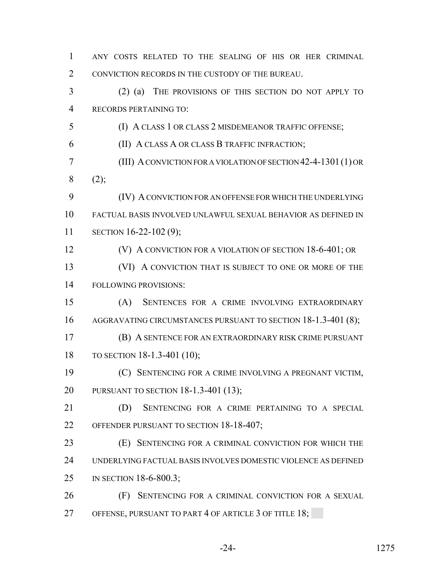| $\mathbf{1}$   | ANY COSTS RELATED TO THE SEALING OF HIS OR HER CRIMINAL        |
|----------------|----------------------------------------------------------------|
| $\overline{2}$ | CONVICTION RECORDS IN THE CUSTODY OF THE BUREAU.               |
| 3              | THE PROVISIONS OF THIS SECTION DO NOT APPLY TO<br>$(2)$ (a)    |
| $\overline{4}$ | RECORDS PERTAINING TO:                                         |
| 5              | (I) A CLASS 1 OR CLASS 2 MISDEMEANOR TRAFFIC OFFENSE;          |
| 6              | (II) A CLASS A OR CLASS B TRAFFIC INFRACTION;                  |
| 7              | (III) A CONVICTION FOR A VIOLATION OF SECTION 42-4-1301 (1) OR |
| 8              | (2);                                                           |
| 9              | (IV) A CONVICTION FOR AN OFFENSE FOR WHICH THE UNDERLYING      |
| 10             | FACTUAL BASIS INVOLVED UNLAWFUL SEXUAL BEHAVIOR AS DEFINED IN  |
| 11             | SECTION 16-22-102 (9);                                         |
| 12             | (V) A CONVICTION FOR A VIOLATION OF SECTION 18-6-401; OR       |
| 13             | (VI) A CONVICTION THAT IS SUBJECT TO ONE OR MORE OF THE        |
| 14             | <b>FOLLOWING PROVISIONS:</b>                                   |
| 15             | SENTENCES FOR A CRIME INVOLVING EXTRAORDINARY<br>(A)           |
| 16             | AGGRAVATING CIRCUMSTANCES PURSUANT TO SECTION 18-1.3-401 (8);  |
| 17             | (B) A SENTENCE FOR AN EXTRAORDINARY RISK CRIME PURSUANT        |
| 18             | TO SECTION 18-1.3-401 (10);                                    |
| 19             | (C) SENTENCING FOR A CRIME INVOLVING A PREGNANT VICTIM,        |
| 20             | PURSUANT TO SECTION 18-1.3-401 (13);                           |
| 21             | SENTENCING FOR A CRIME PERTAINING TO A SPECIAL<br>(D)          |
| 22             | OFFENDER PURSUANT TO SECTION 18-18-407;                        |
| 23             | (E) SENTENCING FOR A CRIMINAL CONVICTION FOR WHICH THE         |
| 24             | UNDERLYING FACTUAL BASIS INVOLVES DOMESTIC VIOLENCE AS DEFINED |
| 25             | IN SECTION 18-6-800.3;                                         |
| 26             | SENTENCING FOR A CRIMINAL CONVICTION FOR A SEXUAL<br>(F)       |
| 27             | OFFENSE, PURSUANT TO PART 4 OF ARTICLE 3 OF TITLE 18;          |
|                |                                                                |

-24- 1275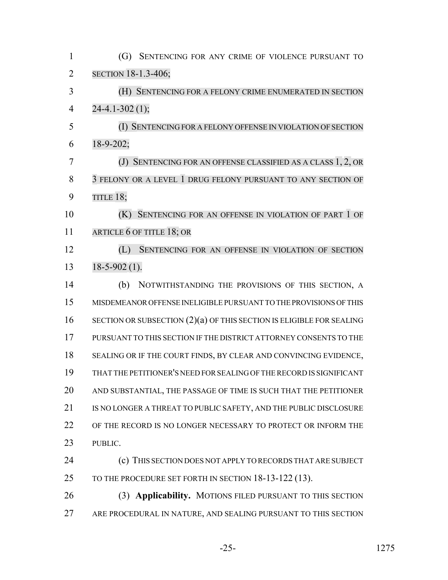| $\mathbf{1}$   | (G) SENTENCING FOR ANY CRIME OF VIOLENCE PURSUANT TO                   |
|----------------|------------------------------------------------------------------------|
| $\overline{2}$ | SECTION 18-1.3-406;                                                    |
| 3              | (H) SENTENCING FOR A FELONY CRIME ENUMERATED IN SECTION                |
| $\overline{4}$ | $24-4.1-302(1);$                                                       |
| 5              | (I) SENTENCING FOR A FELONY OFFENSE IN VIOLATION OF SECTION            |
| 6              | $18-9-202;$                                                            |
| $\overline{7}$ | (J) SENTENCING FOR AN OFFENSE CLASSIFIED AS A CLASS 1, 2, OR           |
| 8              | 3 FELONY OR A LEVEL 1 DRUG FELONY PURSUANT TO ANY SECTION OF           |
| 9              | TITLE 18;                                                              |
| 10             | SENTENCING FOR AN OFFENSE IN VIOLATION OF PART 1 OF<br>(K)             |
| 11             | ARTICLE 6 OF TITLE 18; OR                                              |
| 12             | (L)<br>SENTENCING FOR AN OFFENSE IN VIOLATION OF SECTION               |
| 13             | $18-5-902(1)$ .                                                        |
| 14             | NOTWITHSTANDING THE PROVISIONS OF THIS SECTION, A<br>(b)               |
| 15             | MISDEMEANOR OFFENSE INELIGIBLE PURSUANT TO THE PROVISIONS OF THIS      |
| 16             | SECTION OR SUBSECTION $(2)(a)$ OF THIS SECTION IS ELIGIBLE FOR SEALING |
| 17             | PURSUANT TO THIS SECTION IF THE DISTRICT ATTORNEY CONSENTS TO THE      |
| 18             | SEALING OR IF THE COURT FINDS, BY CLEAR AND CONVINCING EVIDENCE,       |
| 19             | THAT THE PETITIONER'S NEED FOR SEALING OF THE RECORD IS SIGNIFICANT    |
| 20             | AND SUBSTANTIAL, THE PASSAGE OF TIME IS SUCH THAT THE PETITIONER       |
| 21             | IS NO LONGER A THREAT TO PUBLIC SAFETY, AND THE PUBLIC DISCLOSURE      |
| 22             | OF THE RECORD IS NO LONGER NECESSARY TO PROTECT OR INFORM THE          |
| 23             | PUBLIC.                                                                |
| 24             | (c) THIS SECTION DOES NOT APPLY TO RECORDS THAT ARE SUBJECT            |
| 25             | TO THE PROCEDURE SET FORTH IN SECTION 18-13-122 (13).                  |
| 26             | (3) Applicability. MOTIONS FILED PURSUANT TO THIS SECTION              |
| 27             | ARE PROCEDURAL IN NATURE, AND SEALING PURSUANT TO THIS SECTION         |
|                |                                                                        |

-25- 1275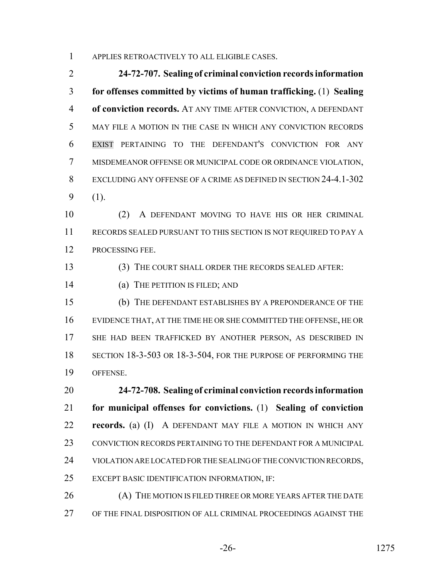APPLIES RETROACTIVELY TO ALL ELIGIBLE CASES.

 **24-72-707. Sealing of criminal conviction records information for offenses committed by victims of human trafficking.** (1) **Sealing of conviction records.** AT ANY TIME AFTER CONVICTION, A DEFENDANT MAY FILE A MOTION IN THE CASE IN WHICH ANY CONVICTION RECORDS EXIST PERTAINING TO THE DEFENDANT'S CONVICTION FOR ANY MISDEMEANOR OFFENSE OR MUNICIPAL CODE OR ORDINANCE VIOLATION, EXCLUDING ANY OFFENSE OF A CRIME AS DEFINED IN SECTION 24-4.1-302 (1).

 (2) A DEFENDANT MOVING TO HAVE HIS OR HER CRIMINAL RECORDS SEALED PURSUANT TO THIS SECTION IS NOT REQUIRED TO PAY A PROCESSING FEE.

(3) THE COURT SHALL ORDER THE RECORDS SEALED AFTER:

(a) THE PETITION IS FILED; AND

 (b) THE DEFENDANT ESTABLISHES BY A PREPONDERANCE OF THE EVIDENCE THAT, AT THE TIME HE OR SHE COMMITTED THE OFFENSE, HE OR SHE HAD BEEN TRAFFICKED BY ANOTHER PERSON, AS DESCRIBED IN SECTION 18-3-503 OR 18-3-504, FOR THE PURPOSE OF PERFORMING THE OFFENSE.

 **24-72-708. Sealing of criminal conviction records information for municipal offenses for convictions.** (1) **Sealing of conviction records.** (a) (I) A DEFENDANT MAY FILE A MOTION IN WHICH ANY CONVICTION RECORDS PERTAINING TO THE DEFENDANT FOR A MUNICIPAL VIOLATION ARE LOCATED FOR THE SEALING OF THE CONVICTION RECORDS, EXCEPT BASIC IDENTIFICATION INFORMATION, IF:

26 (A) THE MOTION IS FILED THREE OR MORE YEARS AFTER THE DATE OF THE FINAL DISPOSITION OF ALL CRIMINAL PROCEEDINGS AGAINST THE

-26- 1275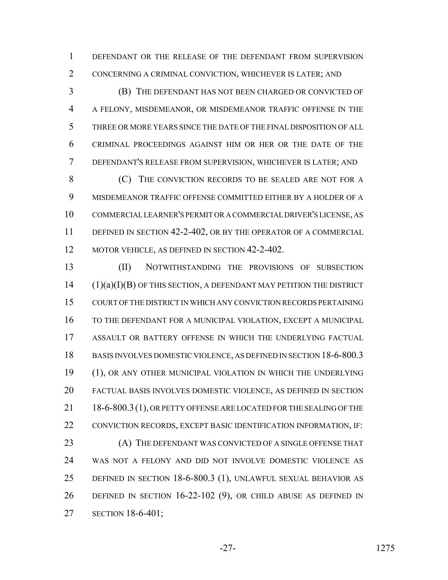DEFENDANT OR THE RELEASE OF THE DEFENDANT FROM SUPERVISION CONCERNING A CRIMINAL CONVICTION, WHICHEVER IS LATER; AND

 (B) THE DEFENDANT HAS NOT BEEN CHARGED OR CONVICTED OF A FELONY, MISDEMEANOR, OR MISDEMEANOR TRAFFIC OFFENSE IN THE THREE OR MORE YEARS SINCE THE DATE OF THE FINAL DISPOSITION OF ALL CRIMINAL PROCEEDINGS AGAINST HIM OR HER OR THE DATE OF THE DEFENDANT'S RELEASE FROM SUPERVISION, WHICHEVER IS LATER; AND

8 (C) THE CONVICTION RECORDS TO BE SEALED ARE NOT FOR A MISDEMEANOR TRAFFIC OFFENSE COMMITTED EITHER BY A HOLDER OF A COMMERCIAL LEARNER'S PERMIT OR A COMMERCIAL DRIVER'S LICENSE, AS DEFINED IN SECTION 42-2-402, OR BY THE OPERATOR OF A COMMERCIAL 12 MOTOR VEHICLE, AS DEFINED IN SECTION 42-2-402.

 (II) NOTWITHSTANDING THE PROVISIONS OF SUBSECTION (1)(a)(I)(B) OF THIS SECTION, A DEFENDANT MAY PETITION THE DISTRICT COURT OF THE DISTRICT IN WHICH ANY CONVICTION RECORDS PERTAINING TO THE DEFENDANT FOR A MUNICIPAL VIOLATION, EXCEPT A MUNICIPAL ASSAULT OR BATTERY OFFENSE IN WHICH THE UNDERLYING FACTUAL BASIS INVOLVES DOMESTIC VIOLENCE, AS DEFINED IN SECTION 18-6-800.3 (1), OR ANY OTHER MUNICIPAL VIOLATION IN WHICH THE UNDERLYING FACTUAL BASIS INVOLVES DOMESTIC VIOLENCE, AS DEFINED IN SECTION 21 18-6-800.3 (1), OR PETTY OFFENSE ARE LOCATED FOR THE SEALING OF THE CONVICTION RECORDS, EXCEPT BASIC IDENTIFICATION INFORMATION, IF: 23 (A) THE DEFENDANT WAS CONVICTED OF A SINGLE OFFENSE THAT WAS NOT A FELONY AND DID NOT INVOLVE DOMESTIC VIOLENCE AS DEFINED IN SECTION 18-6-800.3 (1), UNLAWFUL SEXUAL BEHAVIOR AS DEFINED IN SECTION 16-22-102 (9), OR CHILD ABUSE AS DEFINED IN SECTION 18-6-401;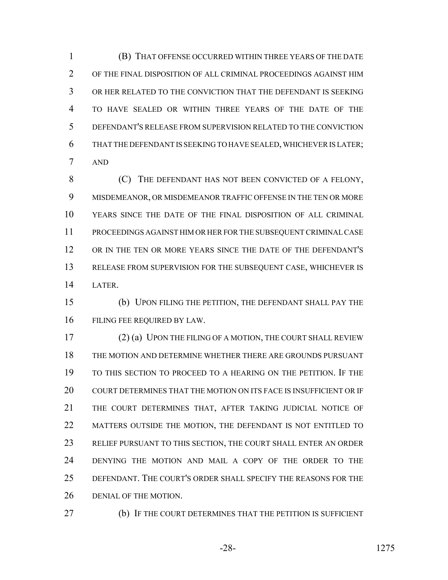(B) THAT OFFENSE OCCURRED WITHIN THREE YEARS OF THE DATE OF THE FINAL DISPOSITION OF ALL CRIMINAL PROCEEDINGS AGAINST HIM OR HER RELATED TO THE CONVICTION THAT THE DEFENDANT IS SEEKING TO HAVE SEALED OR WITHIN THREE YEARS OF THE DATE OF THE DEFENDANT'S RELEASE FROM SUPERVISION RELATED TO THE CONVICTION THAT THE DEFENDANT IS SEEKING TO HAVE SEALED, WHICHEVER IS LATER; AND

 (C) THE DEFENDANT HAS NOT BEEN CONVICTED OF A FELONY, MISDEMEANOR, OR MISDEMEANOR TRAFFIC OFFENSE IN THE TEN OR MORE YEARS SINCE THE DATE OF THE FINAL DISPOSITION OF ALL CRIMINAL PROCEEDINGS AGAINST HIM OR HER FOR THE SUBSEQUENT CRIMINAL CASE OR IN THE TEN OR MORE YEARS SINCE THE DATE OF THE DEFENDANT'S RELEASE FROM SUPERVISION FOR THE SUBSEQUENT CASE, WHICHEVER IS LATER.

 (b) UPON FILING THE PETITION, THE DEFENDANT SHALL PAY THE FILING FEE REQUIRED BY LAW.

 (2) (a) UPON THE FILING OF A MOTION, THE COURT SHALL REVIEW THE MOTION AND DETERMINE WHETHER THERE ARE GROUNDS PURSUANT TO THIS SECTION TO PROCEED TO A HEARING ON THE PETITION. IF THE COURT DETERMINES THAT THE MOTION ON ITS FACE IS INSUFFICIENT OR IF THE COURT DETERMINES THAT, AFTER TAKING JUDICIAL NOTICE OF 22 MATTERS OUTSIDE THE MOTION, THE DEFENDANT IS NOT ENTITLED TO RELIEF PURSUANT TO THIS SECTION, THE COURT SHALL ENTER AN ORDER DENYING THE MOTION AND MAIL A COPY OF THE ORDER TO THE DEFENDANT. THE COURT'S ORDER SHALL SPECIFY THE REASONS FOR THE DENIAL OF THE MOTION.

(b) IF THE COURT DETERMINES THAT THE PETITION IS SUFFICIENT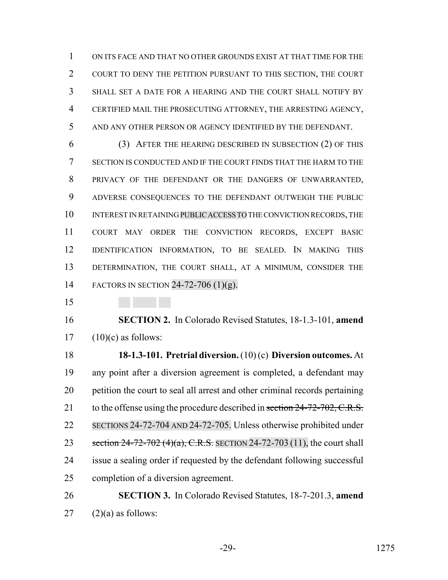ON ITS FACE AND THAT NO OTHER GROUNDS EXIST AT THAT TIME FOR THE COURT TO DENY THE PETITION PURSUANT TO THIS SECTION, THE COURT SHALL SET A DATE FOR A HEARING AND THE COURT SHALL NOTIFY BY CERTIFIED MAIL THE PROSECUTING ATTORNEY, THE ARRESTING AGENCY, AND ANY OTHER PERSON OR AGENCY IDENTIFIED BY THE DEFENDANT.

 (3) AFTER THE HEARING DESCRIBED IN SUBSECTION (2) OF THIS SECTION IS CONDUCTED AND IF THE COURT FINDS THAT THE HARM TO THE PRIVACY OF THE DEFENDANT OR THE DANGERS OF UNWARRANTED, ADVERSE CONSEQUENCES TO THE DEFENDANT OUTWEIGH THE PUBLIC INTEREST IN RETAINING PUBLIC ACCESS TO THE CONVICTION RECORDS, THE COURT MAY ORDER THE CONVICTION RECORDS, EXCEPT BASIC IDENTIFICATION INFORMATION, TO BE SEALED. IN MAKING THIS DETERMINATION, THE COURT SHALL, AT A MINIMUM, CONSIDER THE FACTORS IN SECTION 24-72-706 (1)(g).

 **SECTION 2.** In Colorado Revised Statutes, 18-1.3-101, **amend** (10)(c) as follows:

 **18-1.3-101. Pretrial diversion.** (10) (c) **Diversion outcomes.** At any point after a diversion agreement is completed, a defendant may petition the court to seal all arrest and other criminal records pertaining 21 to the offense using the procedure described in section 24-72-702, C.R.S. SECTIONS 24-72-704 AND 24-72-705. Unless otherwise prohibited under 23 section 24-72-702 (4)(a), C.R.S. SECTION 24-72-703 (11), the court shall issue a sealing order if requested by the defendant following successful completion of a diversion agreement.

# **SECTION 3.** In Colorado Revised Statutes, 18-7-201.3, **amend** (2)(a) as follows: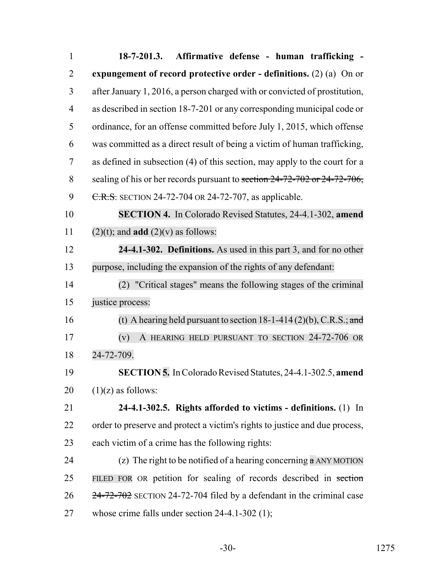| $\mathbf{1}$   | Affirmative defense - human trafficking -<br>$18 - 7 - 201.3.$              |
|----------------|-----------------------------------------------------------------------------|
| $\overline{2}$ | expungement of record protective order - definitions. $(2)$ (a) On or       |
| 3              | after January 1, 2016, a person charged with or convicted of prostitution,  |
| 4              | as described in section 18-7-201 or any corresponding municipal code or     |
| 5              | ordinance, for an offense committed before July 1, 2015, which offense      |
| 6              | was committed as a direct result of being a victim of human trafficking,    |
| $\tau$         | as defined in subsection (4) of this section, may apply to the court for a  |
| 8              | sealing of his or her records pursuant to section 24-72-702 or 24-72-706,   |
| 9              | C.R.S. SECTION 24-72-704 OR 24-72-707, as applicable.                       |
| 10             | <b>SECTION 4.</b> In Colorado Revised Statutes, 24-4.1-302, amend           |
| 11             | $(2)(t)$ ; and <b>add</b> $(2)(v)$ as follows:                              |
| 12             | 24-4.1-302. Definitions. As used in this part 3, and for no other           |
| 13             | purpose, including the expansion of the rights of any defendant:            |
| 14             | (2) "Critical stages" means the following stages of the criminal            |
| 15             | justice process:                                                            |
| 16             | (t) A hearing held pursuant to section $18-1-414(2)(b)$ , C.R.S.; and       |
| 17             | A HEARING HELD PURSUANT TO SECTION 24-72-706 OR<br>(v)                      |
| 18             | 24-72-709.                                                                  |
| 19             | SECTION 5. In Colorado Revised Statutes, 24-4.1-302.5, amend                |
| 20             | $(1)(z)$ as follows:                                                        |
| 21             | 24-4.1-302.5. Rights afforded to victims - definitions. (1) In              |
| 22             | order to preserve and protect a victim's rights to justice and due process, |
| 23             | each victim of a crime has the following rights:                            |
| 24             | (z) The right to be notified of a hearing concerning $\alpha$ ANY MOTION    |
| 25             | FILED FOR OR petition for sealing of records described in section           |
| 26             | $24 - 72 - 702$ SECTION 24-72-704 filed by a defendant in the criminal case |
| 27             | whose crime falls under section $24-4.1-302$ (1);                           |